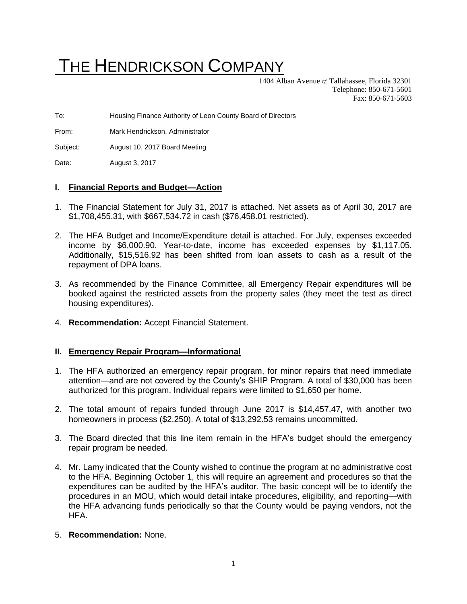# THE HENDRICKSON COMPANY

1404 Alban Avenue  $\subset \mathcal{I}$  Tallahassee, Florida 32301 Telephone: 850-671-5601 Fax: 850-671-5603

To: Housing Finance Authority of Leon County Board of Directors

From: Mark Hendrickson, Administrator

Subject: August 10, 2017 Board Meeting

Date: August 3, 2017

#### **I. Financial Reports and Budget—Action**

- 1. The Financial Statement for July 31, 2017 is attached. Net assets as of April 30, 2017 are \$1,708,455.31, with \$667,534.72 in cash (\$76,458.01 restricted).
- 2. The HFA Budget and Income/Expenditure detail is attached. For July, expenses exceeded income by \$6,000.90. Year-to-date, income has exceeded expenses by \$1,117.05. Additionally, \$15,516.92 has been shifted from loan assets to cash as a result of the repayment of DPA loans.
- 3. As recommended by the Finance Committee, all Emergency Repair expenditures will be booked against the restricted assets from the property sales (they meet the test as direct housing expenditures).
- 4. **Recommendation:** Accept Financial Statement.

#### **II. Emergency Repair Program—Informational**

- 1. The HFA authorized an emergency repair program, for minor repairs that need immediate attention—and are not covered by the County's SHIP Program. A total of \$30,000 has been authorized for this program. Individual repairs were limited to \$1,650 per home.
- 2. The total amount of repairs funded through June 2017 is \$14,457.47, with another two homeowners in process (\$2,250). A total of \$13,292.53 remains uncommitted.
- 3. The Board directed that this line item remain in the HFA's budget should the emergency repair program be needed.
- 4. Mr. Lamy indicated that the County wished to continue the program at no administrative cost to the HFA. Beginning October 1, this will require an agreement and procedures so that the expenditures can be audited by the HFA's auditor. The basic concept will be to identify the procedures in an MOU, which would detail intake procedures, eligibility, and reporting—with the HFA advancing funds periodically so that the County would be paying vendors, not the HFA.
- 5. **Recommendation:** None.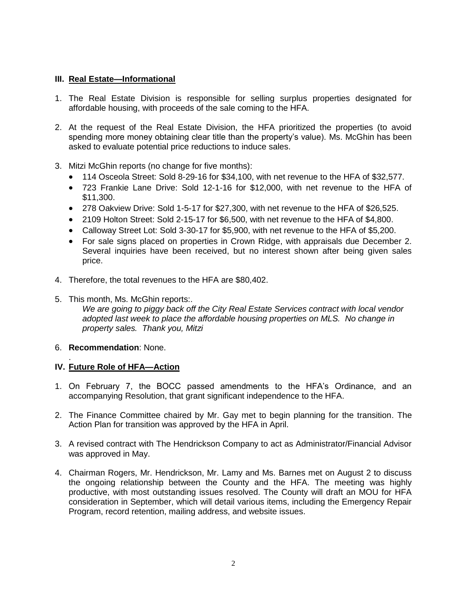### **III. Real Estate—Informational**

- 1. The Real Estate Division is responsible for selling surplus properties designated for affordable housing, with proceeds of the sale coming to the HFA.
- 2. At the request of the Real Estate Division, the HFA prioritized the properties (to avoid spending more money obtaining clear title than the property's value). Ms. McGhin has been asked to evaluate potential price reductions to induce sales.
- 3. Mitzi McGhin reports (no change for five months):
	- 114 Osceola Street: Sold 8-29-16 for \$34,100, with net revenue to the HFA of \$32,577.
	- 723 Frankie Lane Drive: Sold 12-1-16 for \$12,000, with net revenue to the HFA of \$11,300.
	- 278 Oakview Drive: Sold 1-5-17 for \$27,300, with net revenue to the HFA of \$26,525.
	- 2109 Holton Street: Sold 2-15-17 for \$6,500, with net revenue to the HFA of \$4,800.
	- Calloway Street Lot: Sold 3-30-17 for \$5,900, with net revenue to the HFA of \$5,200.
	- For sale signs placed on properties in Crown Ridge, with appraisals due December 2. Several inquiries have been received, but no interest shown after being given sales price.
- 4. Therefore, the total revenues to the HFA are \$80,402.
- 5. This month, Ms. McGhin reports:. *We are going to piggy back off the City Real Estate Services contract with local vendor adopted last week to place the affordable housing properties on MLS. No change in property sales. Thank you, Mitzi*

#### 6. **Recommendation**: None.

#### . **IV. Future Role of HFA—Action**

- 1. On February 7, the BOCC passed amendments to the HFA's Ordinance, and an accompanying Resolution, that grant significant independence to the HFA.
- 2. The Finance Committee chaired by Mr. Gay met to begin planning for the transition. The Action Plan for transition was approved by the HFA in April.
- 3. A revised contract with The Hendrickson Company to act as Administrator/Financial Advisor was approved in May.
- 4. Chairman Rogers, Mr. Hendrickson, Mr. Lamy and Ms. Barnes met on August 2 to discuss the ongoing relationship between the County and the HFA. The meeting was highly productive, with most outstanding issues resolved. The County will draft an MOU for HFA consideration in September, which will detail various items, including the Emergency Repair Program, record retention, mailing address, and website issues.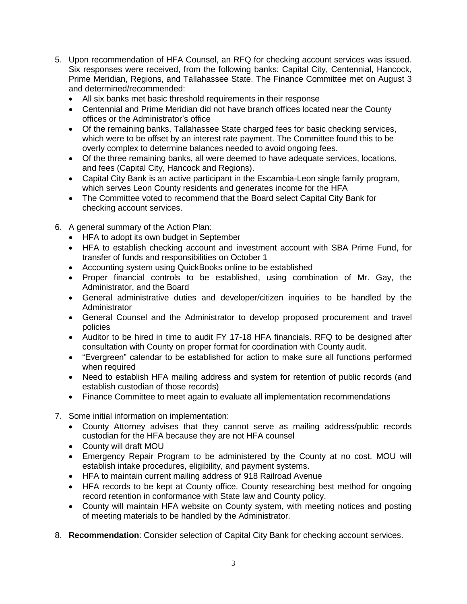- 5. Upon recommendation of HFA Counsel, an RFQ for checking account services was issued. Six responses were received, from the following banks: Capital City, Centennial, Hancock, Prime Meridian, Regions, and Tallahassee State. The Finance Committee met on August 3 and determined/recommended:
	- All six banks met basic threshold requirements in their response
	- Centennial and Prime Meridian did not have branch offices located near the County offices or the Administrator's office
	- Of the remaining banks, Tallahassee State charged fees for basic checking services, which were to be offset by an interest rate payment. The Committee found this to be overly complex to determine balances needed to avoid ongoing fees.
	- Of the three remaining banks, all were deemed to have adequate services, locations, and fees (Capital City, Hancock and Regions).
	- Capital City Bank is an active participant in the Escambia-Leon single family program, which serves Leon County residents and generates income for the HFA
	- The Committee voted to recommend that the Board select Capital City Bank for checking account services.
- 6. A general summary of the Action Plan:
	- HFA to adopt its own budget in September
	- HFA to establish checking account and investment account with SBA Prime Fund, for transfer of funds and responsibilities on October 1
	- Accounting system using QuickBooks online to be established
	- Proper financial controls to be established, using combination of Mr. Gay, the Administrator, and the Board
	- General administrative duties and developer/citizen inquiries to be handled by the Administrator
	- General Counsel and the Administrator to develop proposed procurement and travel policies
	- Auditor to be hired in time to audit FY 17-18 HFA financials. RFQ to be designed after consultation with County on proper format for coordination with County audit.
	- "Evergreen" calendar to be established for action to make sure all functions performed when required
	- Need to establish HFA mailing address and system for retention of public records (and establish custodian of those records)
	- Finance Committee to meet again to evaluate all implementation recommendations
- 7. Some initial information on implementation:
	- County Attorney advises that they cannot serve as mailing address/public records custodian for the HFA because they are not HFA counsel
	- County will draft MOU
	- Emergency Repair Program to be administered by the County at no cost. MOU will establish intake procedures, eligibility, and payment systems.
	- HFA to maintain current mailing address of 918 Railroad Avenue
	- HFA records to be kept at County office. County researching best method for ongoing record retention in conformance with State law and County policy.
	- County will maintain HFA website on County system, with meeting notices and posting of meeting materials to be handled by the Administrator.
- 8. **Recommendation**: Consider selection of Capital City Bank for checking account services.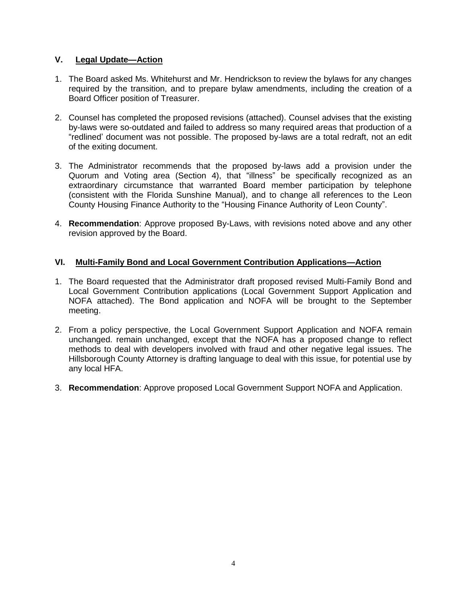# **V. Legal Update—Action**

- 1. The Board asked Ms. Whitehurst and Mr. Hendrickson to review the bylaws for any changes required by the transition, and to prepare bylaw amendments, including the creation of a Board Officer position of Treasurer.
- 2. Counsel has completed the proposed revisions (attached). Counsel advises that the existing by-laws were so-outdated and failed to address so many required areas that production of a "redlined' document was not possible. The proposed by-laws are a total redraft, not an edit of the exiting document.
- 3. The Administrator recommends that the proposed by-laws add a provision under the Quorum and Voting area (Section 4), that "illness" be specifically recognized as an extraordinary circumstance that warranted Board member participation by telephone (consistent with the Florida Sunshine Manual), and to change all references to the Leon County Housing Finance Authority to the "Housing Finance Authority of Leon County".
- 4. **Recommendation**: Approve proposed By-Laws, with revisions noted above and any other revision approved by the Board.

# **VI. Multi-Family Bond and Local Government Contribution Applications—Action**

- 1. The Board requested that the Administrator draft proposed revised Multi-Family Bond and Local Government Contribution applications (Local Government Support Application and NOFA attached). The Bond application and NOFA will be brought to the September meeting.
- 2. From a policy perspective, the Local Government Support Application and NOFA remain unchanged. remain unchanged, except that the NOFA has a proposed change to reflect methods to deal with developers involved with fraud and other negative legal issues. The Hillsborough County Attorney is drafting language to deal with this issue, for potential use by any local HFA.
- 3. **Recommendation**: Approve proposed Local Government Support NOFA and Application.